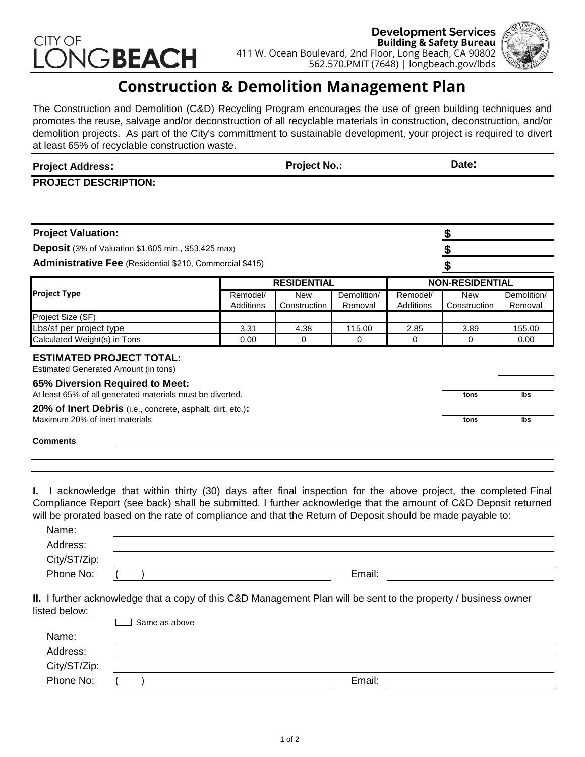# CITY OF VGBEACH



## **Construction & Demolition Management Plan**

The Construction and Demolition (C&D) Recycling Program encourages the use of green building techniques and promotes the reuse, salvage and/or deconstruction of all recyclable materials in construction, deconstruction, and/or demolition projects. As part of the City's committment to sustainable development, your project is required to divert at least 65% of recyclable construction waste.

| <b>Project Address:</b> | <b>Project No</b> | Date: |
|-------------------------|-------------------|-------|
|                         |                   |       |

**PROJECT DESCRIPTION:**

| <b>Project Valuation:</b>                                                                    |                       |                            |                        |                        | S                          |                        |  |
|----------------------------------------------------------------------------------------------|-----------------------|----------------------------|------------------------|------------------------|----------------------------|------------------------|--|
| <b>Deposit</b> (3% of Valuation \$1,605 min., \$53,425 max)                                  |                       |                            |                        |                        |                            |                        |  |
| <b>Administrative Fee</b> (Residential \$210, Commercial \$415)                              |                       |                            |                        |                        |                            |                        |  |
|                                                                                              | <b>RESIDENTIAL</b>    |                            |                        | <b>NON-RESIDENTIAL</b> |                            |                        |  |
| <b>Project Type</b>                                                                          | Remodel/<br>Additions | <b>New</b><br>Construction | Demolition/<br>Removal | Remodel/<br>Additions  | <b>New</b><br>Construction | Demolition/<br>Removal |  |
| Project Size (SF)                                                                            |                       |                            |                        |                        |                            |                        |  |
| Lbs/sf per project type                                                                      | 3.31                  | 4.38                       | 115.00                 | 2.85                   | 3.89                       | 155.00                 |  |
| Calculated Weight(s) in Tons                                                                 | 0.00                  | 0                          | 0                      | 0                      | $\Omega$                   | 0.00                   |  |
| <b>ESTIMATED PROJECT TOTAL:</b><br>Estimated Generated Amount (in tons)                      |                       |                            |                        |                        |                            |                        |  |
| 65% Diversion Required to Meet:<br>At least 65% of all generated materials must be diverted. |                       |                            |                        |                        | tons                       | lbs                    |  |
| 20% of Inert Debris (i.e., concrete, asphalt, dirt, etc.):                                   |                       |                            |                        |                        |                            |                        |  |
| Maximum 20% of inert materials                                                               |                       |                            |                        | tons                   | lbs                        |                        |  |
| <b>Comments</b>                                                                              |                       |                            |                        |                        |                            |                        |  |
|                                                                                              |                       |                            |                        |                        |                            |                        |  |

**I.** I acknowledge that within thirty (30) days after final inspection for the above project, the completed Final Compliance Report (see back) shall be submitted. I further acknowledge that the amount of C&D Deposit returned will be prorated based on the rate of compliance and that the Return of Deposit should be made payable to:

| Name:        |        |  |
|--------------|--------|--|
| Address:     |        |  |
| City/ST/Zip: |        |  |
| Phone No:    | Email: |  |

**II.** I further acknowledge that a copy of this C&D Management Plan will be sent to the property / business owner listed below:

| ] Same as above |        |  |
|-----------------|--------|--|
|                 |        |  |
|                 |        |  |
|                 |        |  |
|                 | Email: |  |
|                 |        |  |